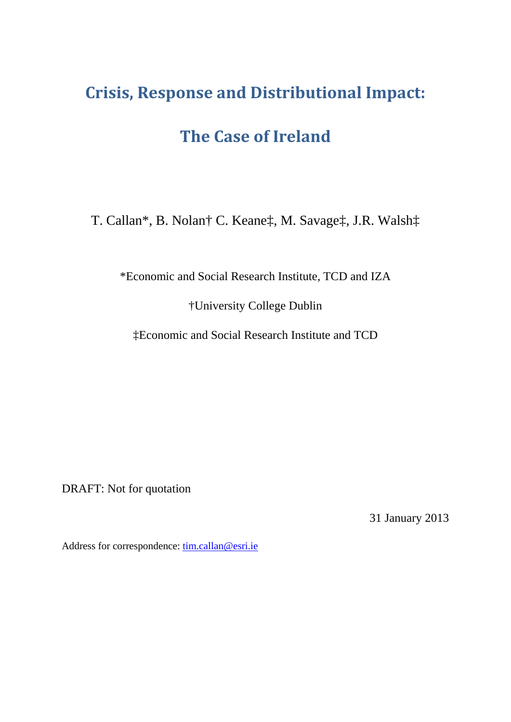# **Crisis, Response and Distributional Impact:**

## **The Case of Ireland**

T. Callan\*, B. Nolan† C. Keane‡, M. Savage‡, J.R. Walsh‡

\*Economic and Social Research Institute, TCD and IZA

†University College Dublin

‡Economic and Social Research Institute and TCD

DRAFT: Not for quotation

31 January 2013

Address for correspondence: tim.callan@esri.ie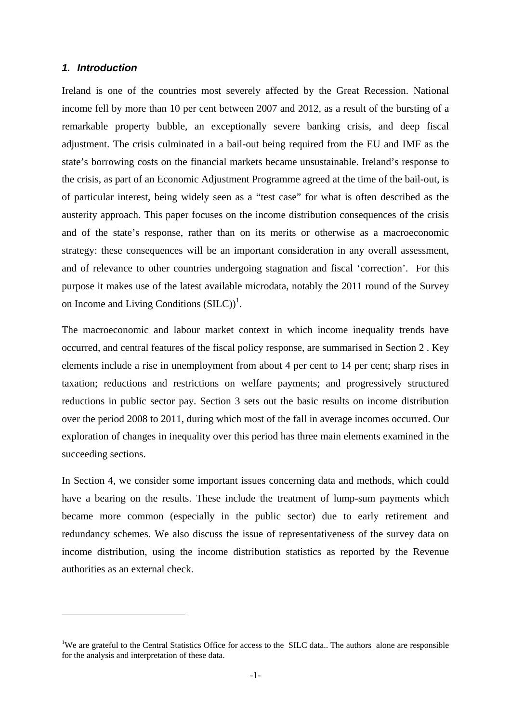## *1. Introduction*

1

Ireland is one of the countries most severely affected by the Great Recession. National income fell by more than 10 per cent between 2007 and 2012, as a result of the bursting of a remarkable property bubble, an exceptionally severe banking crisis, and deep fiscal adjustment. The crisis culminated in a bail-out being required from the EU and IMF as the state's borrowing costs on the financial markets became unsustainable. Ireland's response to the crisis, as part of an Economic Adjustment Programme agreed at the time of the bail-out, is of particular interest, being widely seen as a "test case" for what is often described as the austerity approach. This paper focuses on the income distribution consequences of the crisis and of the state's response, rather than on its merits or otherwise as a macroeconomic strategy: these consequences will be an important consideration in any overall assessment, and of relevance to other countries undergoing stagnation and fiscal 'correction'. For this purpose it makes use of the latest available microdata, notably the 2011 round of the Survey on Income and Living Conditions  $(SILC)^1$ .

The macroeconomic and labour market context in which income inequality trends have occurred, and central features of the fiscal policy response, are summarised in Section 2 . Key elements include a rise in unemployment from about 4 per cent to 14 per cent; sharp rises in taxation; reductions and restrictions on welfare payments; and progressively structured reductions in public sector pay. Section 3 sets out the basic results on income distribution over the period 2008 to 2011, during which most of the fall in average incomes occurred. Our exploration of changes in inequality over this period has three main elements examined in the succeeding sections.

In Section 4, we consider some important issues concerning data and methods, which could have a bearing on the results. These include the treatment of lump-sum payments which became more common (especially in the public sector) due to early retirement and redundancy schemes. We also discuss the issue of representativeness of the survey data on income distribution, using the income distribution statistics as reported by the Revenue authorities as an external check.

<sup>&</sup>lt;sup>1</sup>We are grateful to the Central Statistics Office for access to the SILC data.. The authors alone are responsible for the analysis and interpretation of these data.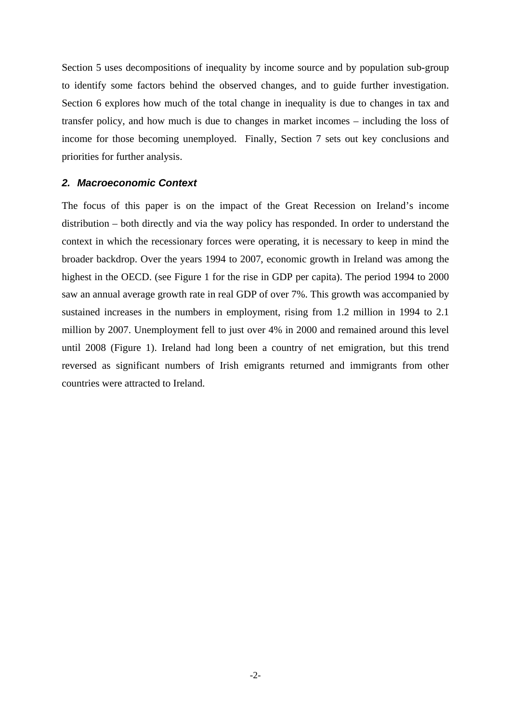Section 5 uses decompositions of inequality by income source and by population sub-group to identify some factors behind the observed changes, and to guide further investigation. Section 6 explores how much of the total change in inequality is due to changes in tax and transfer policy, and how much is due to changes in market incomes – including the loss of income for those becoming unemployed. Finally, Section 7 sets out key conclusions and priorities for further analysis.

## *2. Macroeconomic Context*

The focus of this paper is on the impact of the Great Recession on Ireland's income distribution – both directly and via the way policy has responded. In order to understand the context in which the recessionary forces were operating, it is necessary to keep in mind the broader backdrop. Over the years 1994 to 2007, economic growth in Ireland was among the highest in the OECD. (see Figure 1 for the rise in GDP per capita). The period 1994 to 2000 saw an annual average growth rate in real GDP of over 7%. This growth was accompanied by sustained increases in the numbers in employment, rising from 1.2 million in 1994 to 2.1 million by 2007. Unemployment fell to just over 4% in 2000 and remained around this level until 2008 (Figure 1). Ireland had long been a country of net emigration, but this trend reversed as significant numbers of Irish emigrants returned and immigrants from other countries were attracted to Ireland.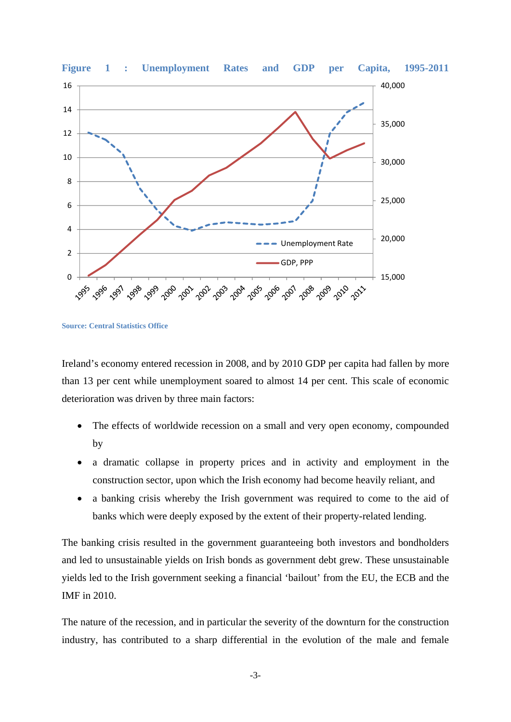

**Source: Central Statistics Office** 

Ireland's economy entered recession in 2008, and by 2010 GDP per capita had fallen by more than 13 per cent while unemployment soared to almost 14 per cent. This scale of economic deterioration was driven by three main factors:

- The effects of worldwide recession on a small and very open economy, compounded by
- a dramatic collapse in property prices and in activity and employment in the construction sector, upon which the Irish economy had become heavily reliant, and
- a banking crisis whereby the Irish government was required to come to the aid of banks which were deeply exposed by the extent of their property-related lending.

The banking crisis resulted in the government guaranteeing both investors and bondholders and led to unsustainable yields on Irish bonds as government debt grew. These unsustainable yields led to the Irish government seeking a financial 'bailout' from the EU, the ECB and the IMF in 2010.

The nature of the recession, and in particular the severity of the downturn for the construction industry, has contributed to a sharp differential in the evolution of the male and female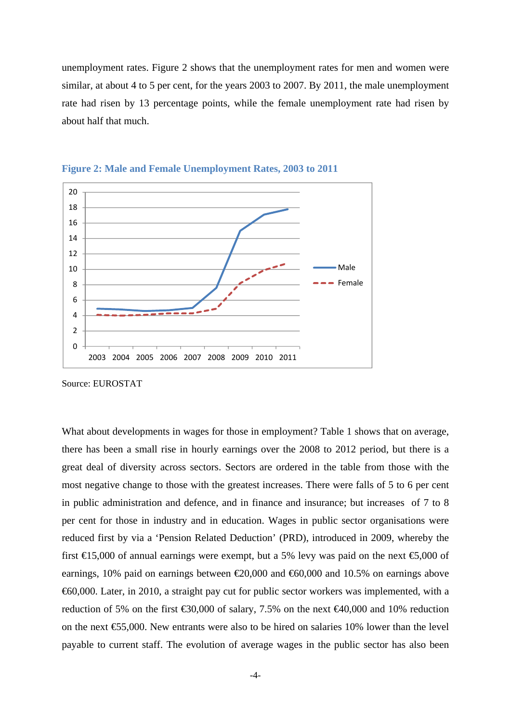unemployment rates. Figure 2 shows that the unemployment rates for men and women were similar, at about 4 to 5 per cent, for the years 2003 to 2007. By 2011, the male unemployment rate had risen by 13 percentage points, while the female unemployment rate had risen by about half that much.





Source: EUROSTAT

What about developments in wages for those in employment? Table 1 shows that on average, there has been a small rise in hourly earnings over the 2008 to 2012 period, but there is a great deal of diversity across sectors. Sectors are ordered in the table from those with the most negative change to those with the greatest increases. There were falls of 5 to 6 per cent in public administration and defence, and in finance and insurance; but increases of 7 to 8 per cent for those in industry and in education. Wages in public sector organisations were reduced first by via a 'Pension Related Deduction' (PRD), introduced in 2009, whereby the first  $\text{£}5,000$  of annual earnings were exempt, but a 5% levy was paid on the next  $\text{£}5,000$  of earnings, 10% paid on earnings between  $\epsilon$ 20,000 and  $\epsilon$ 60,000 and 10.5% on earnings above €60,000. Later, in 2010, a straight pay cut for public sector workers was implemented, with a reduction of 5% on the first  $\text{\textsterling}30,000$  of salary, 7.5% on the next  $\text{\textsterling}40,000$  and 10% reduction on the next  $\epsilon$ 55,000. New entrants were also to be hired on salaries 10% lower than the level payable to current staff. The evolution of average wages in the public sector has also been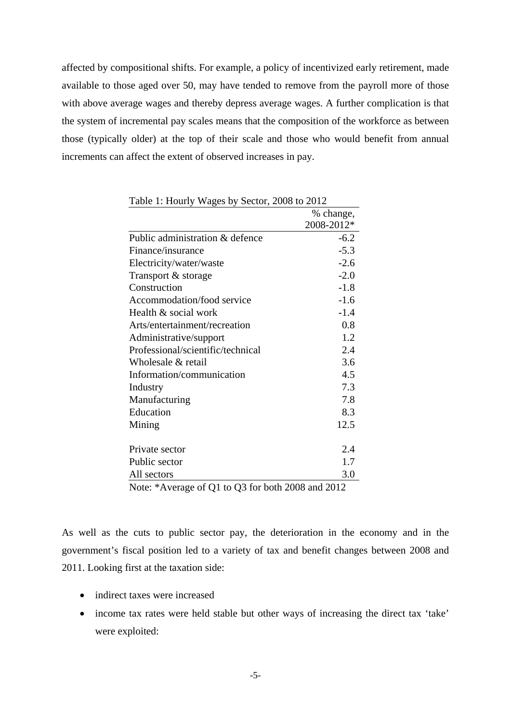affected by compositional shifts. For example, a policy of incentivized early retirement, made available to those aged over 50, may have tended to remove from the payroll more of those with above average wages and thereby depress average wages. A further complication is that the system of incremental pay scales means that the composition of the workforce as between those (typically older) at the top of their scale and those who would benefit from annual increments can affect the extent of observed increases in pay.

| Table 1: Hourly wages by Sector, 2008 to 2012     |            |
|---------------------------------------------------|------------|
|                                                   | % change,  |
|                                                   | 2008-2012* |
| Public administration & defence                   | $-6.2$     |
| Finance/insurance                                 | $-5.3$     |
| Electricity/water/waste                           | $-2.6$     |
| Transport & storage                               | $-2.0$     |
| Construction                                      | $-1.8$     |
| Accommodation/food service                        | $-1.6$     |
| Health & social work                              | $-1.4$     |
| Arts/entertainment/recreation                     | 0.8        |
| Administrative/support                            | 1.2        |
| Professional/scientific/technical                 | 2.4        |
| Wholesale & retail                                | 3.6        |
| Information/communication                         | 4.5        |
| Industry                                          | 7.3        |
| Manufacturing                                     | 7.8        |
| Education                                         | 8.3        |
| Mining                                            | 12.5       |
| Private sector                                    | 2.4        |
| Public sector                                     | 1.7        |
| All sectors                                       | 3.0        |
| Note: *Average of Q1 to Q3 for both 2008 and 2012 |            |

Table 1: Hourly Wages by Sector, 2008 to 2012

As well as the cuts to public sector pay, the deterioration in the economy and in the government's fiscal position led to a variety of tax and benefit changes between 2008 and 2011. Looking first at the taxation side:

- indirect taxes were increased
- income tax rates were held stable but other ways of increasing the direct tax 'take' were exploited: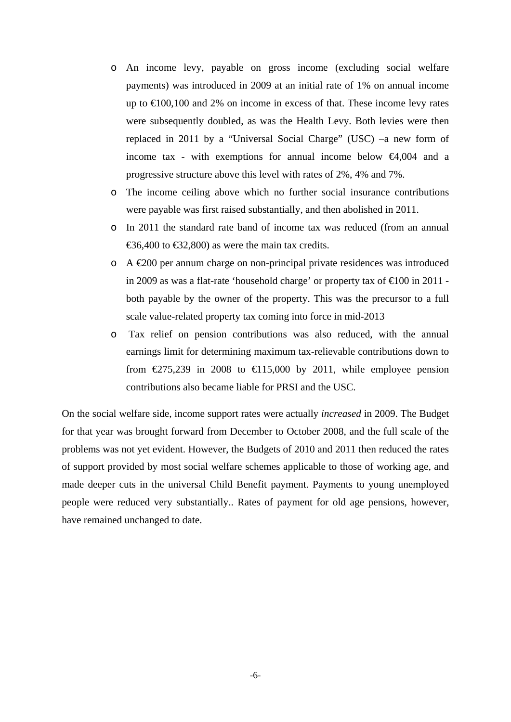- o An income levy, payable on gross income (excluding social welfare payments) was introduced in 2009 at an initial rate of 1% on annual income up to  $\text{E}100,100$  and 2% on income in excess of that. These income levy rates were subsequently doubled, as was the Health Levy. Both levies were then replaced in 2011 by a "Universal Social Charge" (USC) –a new form of income tax - with exemptions for annual income below  $\bigoplus$ , 004 and a progressive structure above this level with rates of 2%, 4% and 7%.
- o The income ceiling above which no further social insurance contributions were payable was first raised substantially, and then abolished in 2011.
- o In 2011 the standard rate band of income tax was reduced (from an annual €36,400 to €32,800) as were the main tax credits.
- $\circ$  A  $\epsilon$ 200 per annum charge on non-principal private residences was introduced in 2009 as was a flat-rate 'household charge' or property tax of  $\epsilon 100$  in 2011 both payable by the owner of the property. This was the precursor to a full scale value-related property tax coming into force in mid-2013
- o Tax relief on pension contributions was also reduced, with the annual earnings limit for determining maximum tax-relievable contributions down to from  $\text{\textsterling}275,239$  in 2008 to  $\text{\textsterling}15,000$  by 2011, while employee pension contributions also became liable for PRSI and the USC.

On the social welfare side, income support rates were actually *increased* in 2009. The Budget for that year was brought forward from December to October 2008, and the full scale of the problems was not yet evident. However, the Budgets of 2010 and 2011 then reduced the rates of support provided by most social welfare schemes applicable to those of working age, and made deeper cuts in the universal Child Benefit payment. Payments to young unemployed people were reduced very substantially.. Rates of payment for old age pensions, however, have remained unchanged to date.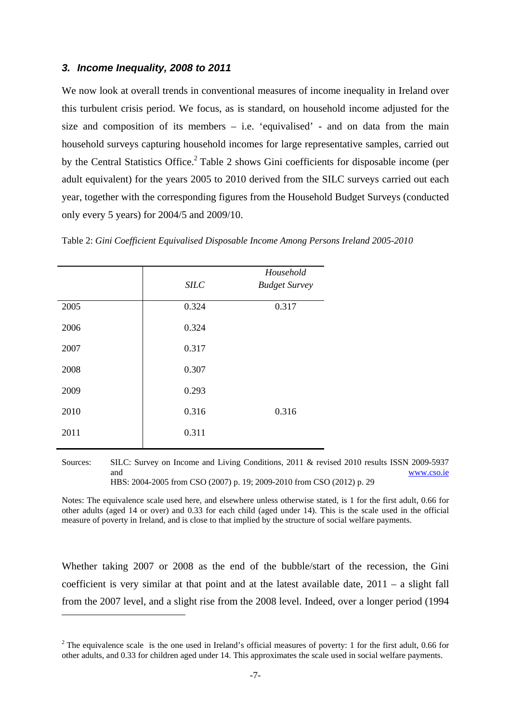## *3. Income Inequality, 2008 to 2011*

We now look at overall trends in conventional measures of income inequality in Ireland over this turbulent crisis period. We focus, as is standard, on household income adjusted for the size and composition of its members – i.e. 'equivalised' - and on data from the main household surveys capturing household incomes for large representative samples, carried out by the Central Statistics Office.<sup>2</sup> Table 2 shows Gini coefficients for disposable income (per adult equivalent) for the years 2005 to 2010 derived from the SILC surveys carried out each year, together with the corresponding figures from the Household Budget Surveys (conducted only every 5 years) for 2004/5 and 2009/10.

|      | <b>SILC</b> | Household<br><b>Budget Survey</b> |
|------|-------------|-----------------------------------|
| 2005 | 0.324       | 0.317                             |
| 2006 | 0.324       |                                   |
| 2007 | 0.317       |                                   |
| 2008 | 0.307       |                                   |
| 2009 | 0.293       |                                   |
| 2010 | 0.316       | 0.316                             |
| 2011 | 0.311       |                                   |
|      |             |                                   |

1

Table 2: *Gini Coefficient Equivalised Disposable Income Among Persons Ireland 2005-2010*

Sources: SILC: Survey on Income and Living Conditions, 2011 & revised 2010 results ISSN 2009-5937 and www.cso.ie HBS: 2004-2005 from CSO (2007) p. 19; 2009-2010 from CSO (2012) p. 29

Notes: The equivalence scale used here, and elsewhere unless otherwise stated, is 1 for the first adult, 0.66 for other adults (aged 14 or over) and 0.33 for each child (aged under 14). This is the scale used in the official measure of poverty in Ireland, and is close to that implied by the structure of social welfare payments.

Whether taking 2007 or 2008 as the end of the bubble/start of the recession, the Gini coefficient is very similar at that point and at the latest available date, 2011 – a slight fall from the 2007 level, and a slight rise from the 2008 level. Indeed, over a longer period (1994

<sup>&</sup>lt;sup>2</sup> The equivalence scale is the one used in Ireland's official measures of poverty: 1 for the first adult, 0.66 for other adults, and 0.33 for children aged under 14. This approximates the scale used in social welfare payments.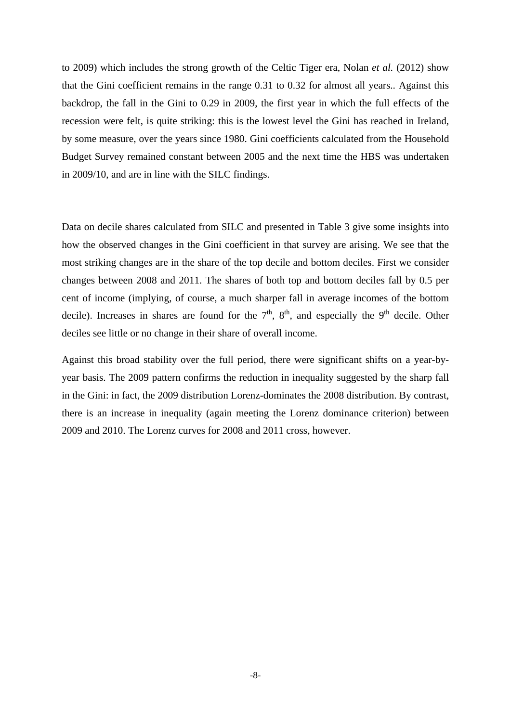to 2009) which includes the strong growth of the Celtic Tiger era, Nolan *et al.* (2012) show that the Gini coefficient remains in the range 0.31 to 0.32 for almost all years.. Against this backdrop, the fall in the Gini to 0.29 in 2009, the first year in which the full effects of the recession were felt, is quite striking: this is the lowest level the Gini has reached in Ireland, by some measure, over the years since 1980. Gini coefficients calculated from the Household Budget Survey remained constant between 2005 and the next time the HBS was undertaken in 2009/10, and are in line with the SILC findings.

Data on decile shares calculated from SILC and presented in Table 3 give some insights into how the observed changes in the Gini coefficient in that survey are arising. We see that the most striking changes are in the share of the top decile and bottom deciles. First we consider changes between 2008 and 2011. The shares of both top and bottom deciles fall by 0.5 per cent of income (implying, of course, a much sharper fall in average incomes of the bottom decile). Increases in shares are found for the  $7<sup>th</sup>$ ,  $8<sup>th</sup>$ , and especially the 9<sup>th</sup> decile. Other deciles see little or no change in their share of overall income.

Against this broad stability over the full period, there were significant shifts on a year-byyear basis. The 2009 pattern confirms the reduction in inequality suggested by the sharp fall in the Gini: in fact, the 2009 distribution Lorenz-dominates the 2008 distribution. By contrast, there is an increase in inequality (again meeting the Lorenz dominance criterion) between 2009 and 2010. The Lorenz curves for 2008 and 2011 cross, however.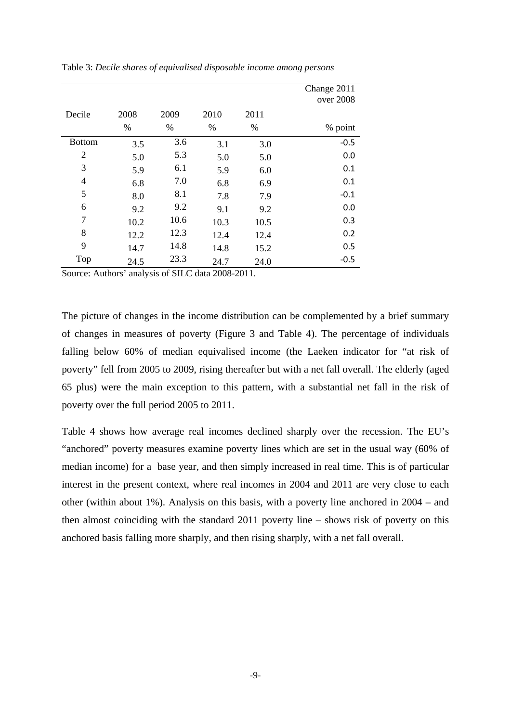|                |      |      |      |      | Change 2011 |
|----------------|------|------|------|------|-------------|
|                |      |      |      |      | over 2008   |
| Decile         | 2008 | 2009 | 2010 | 2011 |             |
|                | $\%$ | %    | %    | $\%$ | % point     |
| <b>Bottom</b>  | 3.5  | 3.6  | 3.1  | 3.0  | $-0.5$      |
| 2              | 5.0  | 5.3  | 5.0  | 5.0  | 0.0         |
| 3              | 5.9  | 6.1  | 5.9  | 6.0  | 0.1         |
| $\overline{4}$ | 6.8  | 7.0  | 6.8  | 6.9  | 0.1         |
| 5              | 8.0  | 8.1  | 7.8  | 7.9  | $-0.1$      |
| 6              | 9.2  | 9.2  | 9.1  | 9.2  | 0.0         |
| 7              | 10.2 | 10.6 | 10.3 | 10.5 | 0.3         |
| 8              | 12.2 | 12.3 | 12.4 | 12.4 | 0.2         |
| 9              | 14.7 | 14.8 | 14.8 | 15.2 | 0.5         |
| Top            | 24.5 | 23.3 | 24.7 | 24.0 | $-0.5$      |

Table 3: *Decile shares of equivalised disposable income among persons*

Source: Authors' analysis of SILC data 2008-2011.

The picture of changes in the income distribution can be complemented by a brief summary of changes in measures of poverty (Figure 3 and Table 4). The percentage of individuals falling below 60% of median equivalised income (the Laeken indicator for "at risk of poverty" fell from 2005 to 2009, rising thereafter but with a net fall overall. The elderly (aged 65 plus) were the main exception to this pattern, with a substantial net fall in the risk of poverty over the full period 2005 to 2011.

Table 4 shows how average real incomes declined sharply over the recession. The EU's "anchored" poverty measures examine poverty lines which are set in the usual way (60% of median income) for a base year, and then simply increased in real time. This is of particular interest in the present context, where real incomes in 2004 and 2011 are very close to each other (within about 1%). Analysis on this basis, with a poverty line anchored in 2004 – and then almost coinciding with the standard 2011 poverty line – shows risk of poverty on this anchored basis falling more sharply, and then rising sharply, with a net fall overall.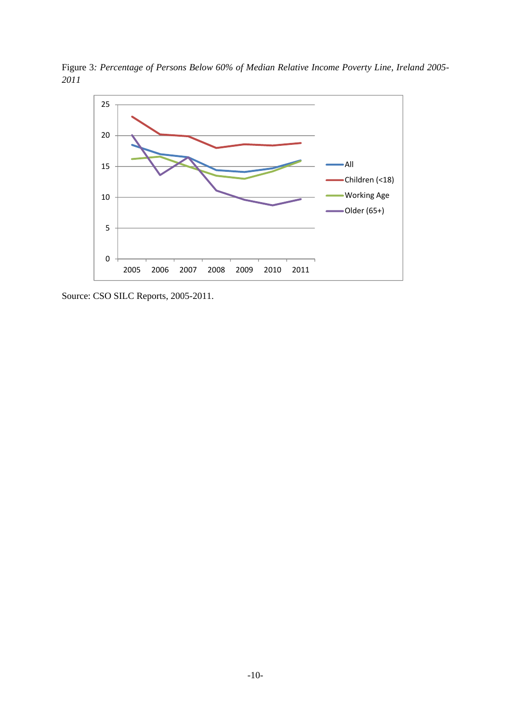Figure 3*: Percentage of Persons Below 60% of Median Relative Income Poverty Line, Ireland 2005- 2011* 



Source: CSO SILC Reports, 2005-2011.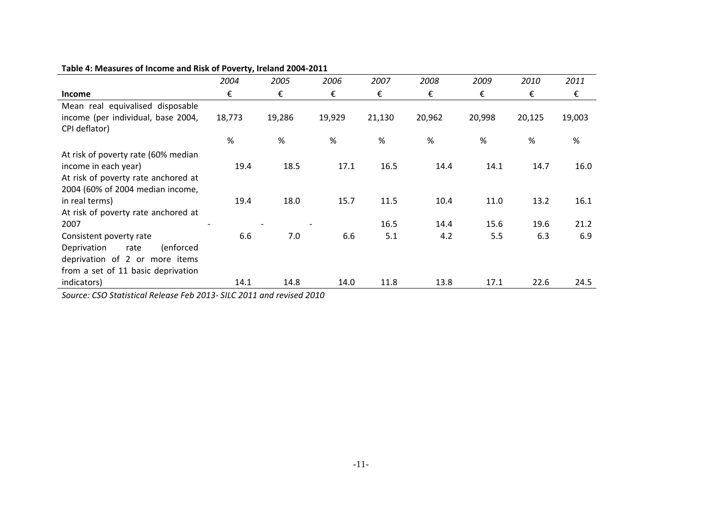|                                     | 2004   | 2005   | 2006   | 2007   | 2008   | 2009   | 2010   | 2011   |
|-------------------------------------|--------|--------|--------|--------|--------|--------|--------|--------|
| <b>Income</b>                       | €      | €      | €      | €      | €      | €      | €      | €      |
| Mean real equivalised disposable    |        |        |        |        |        |        |        |        |
| income (per individual, base 2004,  | 18,773 | 19,286 | 19,929 | 21,130 | 20,962 | 20,998 | 20,125 | 19,003 |
| CPI deflator)                       |        |        |        |        |        |        |        |        |
|                                     | $\%$   | %      | $\%$   | $\%$   | %      | $\%$   | %      | %      |
| At risk of poverty rate (60% median |        |        |        |        |        |        |        |        |
| income in each year)                | 19.4   | 18.5   | 17.1   | 16.5   | 14.4   | 14.1   | 14.7   | 16.0   |
| At risk of poverty rate anchored at |        |        |        |        |        |        |        |        |
| 2004 (60% of 2004 median income,    |        |        |        |        |        |        |        |        |
| in real terms)                      | 19.4   | 18.0   | 15.7   | 11.5   | 10.4   | 11.0   | 13.2   | 16.1   |
| At risk of poverty rate anchored at |        |        |        |        |        |        |        |        |
| 2007                                |        |        |        | 16.5   | 14.4   | 15.6   | 19.6   | 21.2   |
| Consistent poverty rate             | 6.6    | 7.0    | 6.6    | 5.1    | 4.2    | 5.5    | 6.3    | 6.9    |
| Deprivation<br>(enforced<br>rate    |        |        |        |        |        |        |        |        |
| deprivation of 2 or more items      |        |        |        |        |        |        |        |        |
| from a set of 11 basic deprivation  |        |        |        |        |        |        |        |        |
| indicators)                         | 14.1   | 14.8   | 14.0   | 11.8   | 13.8   | 17.1   | 22.6   | 24.5   |

#### **Table 4: Measures of Income and Risk of Poverty, Ireland 2004‐2011**

*Source: CSO Statistical Release Feb 2013‐ SILC 2011 and revised 2010*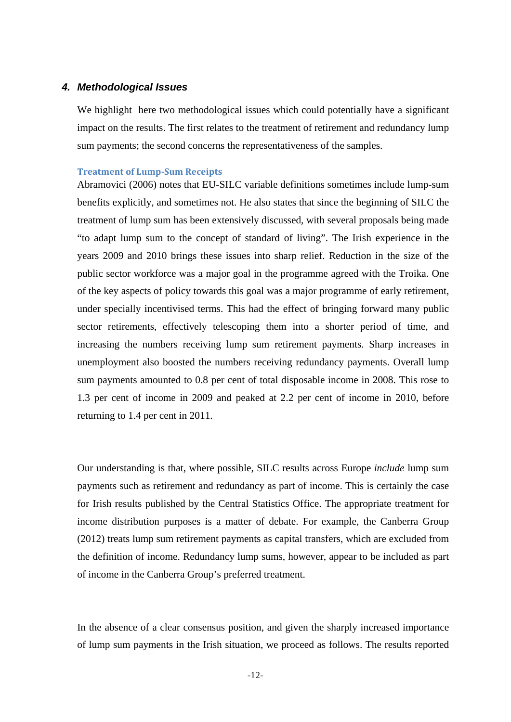### *4. Methodological Issues*

We highlight here two methodological issues which could potentially have a significant impact on the results. The first relates to the treatment of retirement and redundancy lump sum payments; the second concerns the representativeness of the samples.

#### **Treatment of Lump‐Sum Receipts**

Abramovici (2006) notes that EU-SILC variable definitions sometimes include lump-sum benefits explicitly, and sometimes not. He also states that since the beginning of SILC the treatment of lump sum has been extensively discussed, with several proposals being made "to adapt lump sum to the concept of standard of living". The Irish experience in the years 2009 and 2010 brings these issues into sharp relief. Reduction in the size of the public sector workforce was a major goal in the programme agreed with the Troika. One of the key aspects of policy towards this goal was a major programme of early retirement, under specially incentivised terms. This had the effect of bringing forward many public sector retirements, effectively telescoping them into a shorter period of time, and increasing the numbers receiving lump sum retirement payments. Sharp increases in unemployment also boosted the numbers receiving redundancy payments. Overall lump sum payments amounted to 0.8 per cent of total disposable income in 2008. This rose to 1.3 per cent of income in 2009 and peaked at 2.2 per cent of income in 2010, before returning to 1.4 per cent in 2011.

Our understanding is that, where possible, SILC results across Europe *include* lump sum payments such as retirement and redundancy as part of income. This is certainly the case for Irish results published by the Central Statistics Office. The appropriate treatment for income distribution purposes is a matter of debate. For example, the Canberra Group (2012) treats lump sum retirement payments as capital transfers, which are excluded from the definition of income. Redundancy lump sums, however, appear to be included as part of income in the Canberra Group's preferred treatment.

In the absence of a clear consensus position, and given the sharply increased importance of lump sum payments in the Irish situation, we proceed as follows. The results reported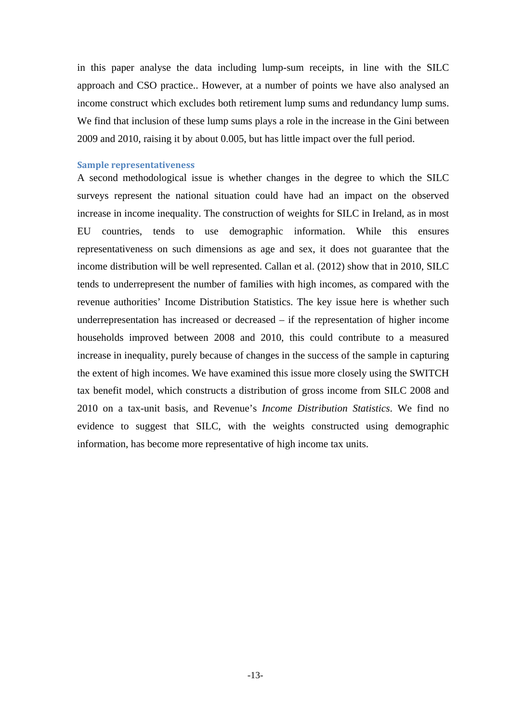in this paper analyse the data including lump-sum receipts, in line with the SILC approach and CSO practice.. However, at a number of points we have also analysed an income construct which excludes both retirement lump sums and redundancy lump sums. We find that inclusion of these lump sums plays a role in the increase in the Gini between 2009 and 2010, raising it by about 0.005, but has little impact over the full period.

## **Sample representativeness**

A second methodological issue is whether changes in the degree to which the SILC surveys represent the national situation could have had an impact on the observed increase in income inequality. The construction of weights for SILC in Ireland, as in most EU countries, tends to use demographic information. While this ensures representativeness on such dimensions as age and sex, it does not guarantee that the income distribution will be well represented. Callan et al. (2012) show that in 2010, SILC tends to underrepresent the number of families with high incomes, as compared with the revenue authorities' Income Distribution Statistics. The key issue here is whether such underrepresentation has increased or decreased – if the representation of higher income households improved between 2008 and 2010, this could contribute to a measured increase in inequality, purely because of changes in the success of the sample in capturing the extent of high incomes. We have examined this issue more closely using the SWITCH tax benefit model, which constructs a distribution of gross income from SILC 2008 and 2010 on a tax-unit basis, and Revenue's *Income Distribution Statistics*. We find no evidence to suggest that SILC, with the weights constructed using demographic information, has become more representative of high income tax units.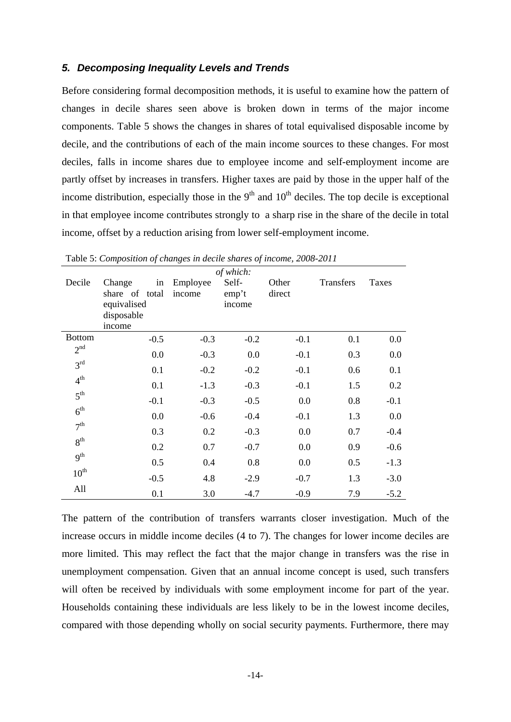## *5. Decomposing Inequality Levels and Trends*

Before considering formal decomposition methods, it is useful to examine how the pattern of changes in decile shares seen above is broken down in terms of the major income components. Table 5 shows the changes in shares of total equivalised disposable income by decile, and the contributions of each of the main income sources to these changes. For most deciles, falls in income shares due to employee income and self-employment income are partly offset by increases in transfers. Higher taxes are paid by those in the upper half of the income distribution, especially those in the  $9<sup>th</sup>$  and  $10<sup>th</sup>$  deciles. The top decile is exceptional in that employee income contributes strongly to a sharp rise in the share of the decile in total income, offset by a reduction arising from lower self-employment income.

|                  |                |          | of which: |        |           |         |
|------------------|----------------|----------|-----------|--------|-----------|---------|
| Decile           | Change<br>in   | Employee | Self-     | Other  | Transfers | Taxes   |
|                  | share of total | income   | emp't     | direct |           |         |
|                  | equivalised    |          | income    |        |           |         |
|                  | disposable     |          |           |        |           |         |
|                  | income         |          |           |        |           |         |
| <b>Bottom</b>    | $-0.5$         | $-0.3$   | $-0.2$    | $-0.1$ | 0.1       | $0.0\,$ |
| 2 <sup>nd</sup>  | 0.0            | $-0.3$   | 0.0       | $-0.1$ | 0.3       | 0.0     |
| 3 <sup>rd</sup>  | 0.1            | $-0.2$   | $-0.2$    | $-0.1$ | 0.6       | 0.1     |
| 4 <sup>th</sup>  | 0.1            | $-1.3$   | $-0.3$    | $-0.1$ | 1.5       | 0.2     |
| 5 <sup>th</sup>  |                |          |           |        |           |         |
| 6 <sup>th</sup>  | $-0.1$         | $-0.3$   | $-0.5$    | 0.0    | 0.8       | $-0.1$  |
|                  | 0.0            | $-0.6$   | $-0.4$    | $-0.1$ | 1.3       | 0.0     |
| 7 <sup>th</sup>  | 0.3            | 0.2      | $-0.3$    | 0.0    | 0.7       | $-0.4$  |
| 8 <sup>th</sup>  | 0.2            | 0.7      | $-0.7$    | 0.0    | 0.9       | $-0.6$  |
| 9 <sup>th</sup>  | 0.5            | 0.4      | 0.8       | 0.0    | 0.5       | $-1.3$  |
| $10^{\text{th}}$ | $-0.5$         | 4.8      | $-2.9$    | $-0.7$ | 1.3       | $-3.0$  |
| All              |                |          |           |        |           |         |
|                  | 0.1            | 3.0      | $-4.7$    | $-0.9$ | 7.9       | $-5.2$  |

Table 5: *Composition of changes in decile shares of income, 2008-2011*

The pattern of the contribution of transfers warrants closer investigation. Much of the increase occurs in middle income deciles (4 to 7). The changes for lower income deciles are more limited. This may reflect the fact that the major change in transfers was the rise in unemployment compensation. Given that an annual income concept is used, such transfers will often be received by individuals with some employment income for part of the year. Households containing these individuals are less likely to be in the lowest income deciles, compared with those depending wholly on social security payments. Furthermore, there may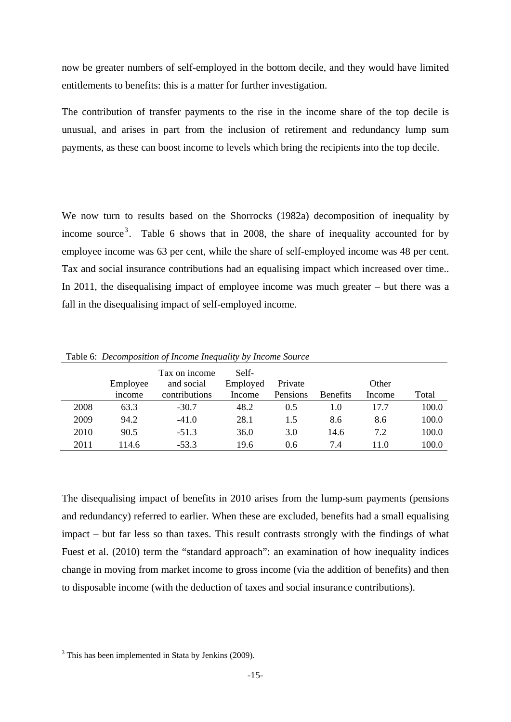now be greater numbers of self-employed in the bottom decile, and they would have limited entitlements to benefits: this is a matter for further investigation.

The contribution of transfer payments to the rise in the income share of the top decile is unusual, and arises in part from the inclusion of retirement and redundancy lump sum payments, as these can boost income to levels which bring the recipients into the top decile.

We now turn to results based on the Shorrocks (1982a) decomposition of inequality by income source<sup>3</sup>. Table 6 shows that in 2008, the share of inequality accounted for by employee income was 63 per cent, while the share of self-employed income was 48 per cent. Tax and social insurance contributions had an equalising impact which increased over time.. In 2011, the disequalising impact of employee income was much greater – but there was a fall in the disequalising impact of self-employed income.

|      | Employee | Tax on income<br>and social | Self-<br>Employed | Private  |                 | Other  |       |
|------|----------|-----------------------------|-------------------|----------|-----------------|--------|-------|
|      | income   | contributions               | Income            | Pensions | <b>Benefits</b> | Income | Total |
| 2008 | 63.3     | $-30.7$                     | 48.2              | 0.5      | 1.0             | 17.7   | 100.0 |
| 2009 | 94.2     | $-41.0$                     | 28.1              | 1.5      | 8.6             | 8.6    | 100.0 |
| 2010 | 90.5     | $-51.3$                     | 36.0              | 3.0      | 14.6            | 7.2    | 100.0 |
| 2011 | 114.6    | $-53.3$                     | 19.6              | 0.6      | 7.4             | 11.0   | 100.0 |

Table 6: *Decomposition of Income Inequality by Income Source*

The disequalising impact of benefits in 2010 arises from the lump-sum payments (pensions and redundancy) referred to earlier. When these are excluded, benefits had a small equalising impact – but far less so than taxes. This result contrasts strongly with the findings of what Fuest et al. (2010) term the "standard approach": an examination of how inequality indices change in moving from market income to gross income (via the addition of benefits) and then to disposable income (with the deduction of taxes and social insurance contributions).

1

<sup>&</sup>lt;sup>3</sup> This has been implemented in Stata by Jenkins (2009).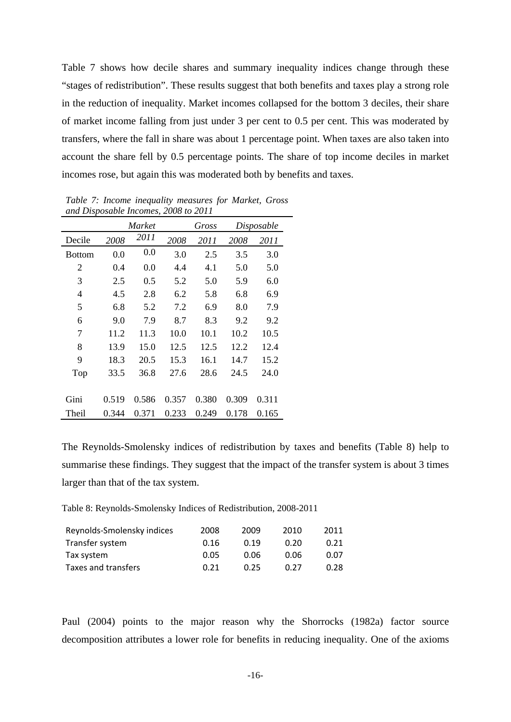Table 7 shows how decile shares and summary inequality indices change through these "stages of redistribution". These results suggest that both benefits and taxes play a strong role in the reduction of inequality. Market incomes collapsed for the bottom 3 deciles, their share of market income falling from just under 3 per cent to 0.5 per cent. This was moderated by transfers, where the fall in share was about 1 percentage point. When taxes are also taken into account the share fell by 0.5 percentage points. The share of top income deciles in market incomes rose, but again this was moderated both by benefits and taxes.

| and Disposable Incomes, 2008 to 2011 |        |       |       |       |       |            |  |  |
|--------------------------------------|--------|-------|-------|-------|-------|------------|--|--|
|                                      | Market |       |       | Gross |       | Disposable |  |  |
| Decile                               | 2008   | 2011  | 2008  | 2011  | 2008  | 2011       |  |  |
| <b>Bottom</b>                        | 0.0    | 0.0   | 3.0   | 2.5   | 3.5   | 3.0        |  |  |
| 2                                    | 0.4    | 0.0   | 4.4   | 4.1   | 5.0   | 5.0        |  |  |
| 3                                    | 2.5    | 0.5   | 5.2   | 5.0   | 5.9   | 6.0        |  |  |
| 4                                    | 4.5    | 2.8   | 6.2   | 5.8   | 6.8   | 6.9        |  |  |
| 5                                    | 6.8    | 5.2   | 7.2   | 6.9   | 8.0   | 7.9        |  |  |
| 6                                    | 9.0    | 7.9   | 8.7   | 8.3   | 9.2   | 9.2        |  |  |
| 7                                    | 11.2   | 11.3  | 10.0  | 10.1  | 10.2  | 10.5       |  |  |
| 8                                    | 13.9   | 15.0  | 12.5  | 12.5  | 12.2  | 12.4       |  |  |
| 9                                    | 18.3   | 20.5  | 15.3  | 16.1  | 14.7  | 15.2       |  |  |
| Top                                  | 33.5   | 36.8  | 27.6  | 28.6  | 24.5  | 24.0       |  |  |
|                                      |        |       |       |       |       |            |  |  |
| Gini                                 | 0.519  | 0.586 | 0.357 | 0.380 | 0.309 | 0.311      |  |  |
| Theil                                | 0.344  | 0.371 | 0.233 | 0.249 | 0.178 | 0.165      |  |  |

*Table 7: Income inequality measures for Market, Gross and Disposable Incomes, 2008 to 2011* 

The Reynolds-Smolensky indices of redistribution by taxes and benefits (Table 8) help to summarise these findings. They suggest that the impact of the transfer system is about 3 times larger than that of the tax system.

Table 8: Reynolds-Smolensky Indices of Redistribution, 2008-2011

| Reynolds-Smolensky indices | 2008 | 2009 | 2010 | 2011 |
|----------------------------|------|------|------|------|
| Transfer system            | 0.16 | 0.19 | 0.20 | 0.21 |
| Tax system                 | 0.05 | 0.06 | 0.06 | 0.07 |
| Taxes and transfers        | 0.21 | 0.25 | 0.27 | 0.28 |

Paul (2004) points to the major reason why the Shorrocks (1982a) factor source decomposition attributes a lower role for benefits in reducing inequality. One of the axioms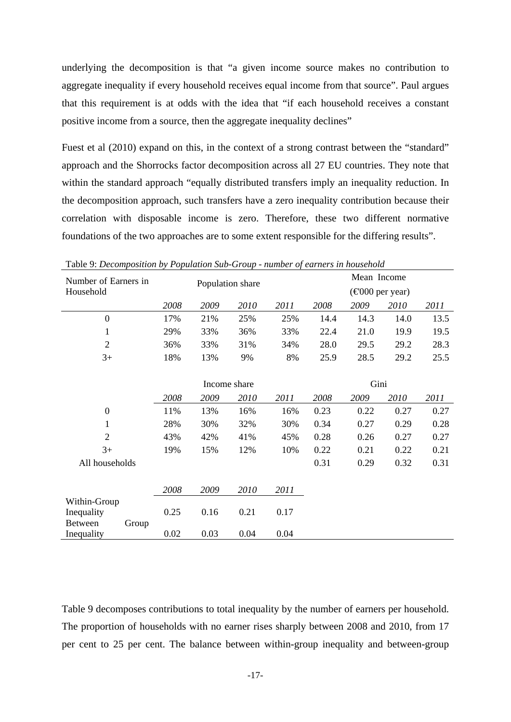underlying the decomposition is that "a given income source makes no contribution to aggregate inequality if every household receives equal income from that source". Paul argues that this requirement is at odds with the idea that "if each household receives a constant positive income from a source, then the aggregate inequality declines"

Fuest et al (2010) expand on this, in the context of a strong contrast between the "standard" approach and the Shorrocks factor decomposition across all 27 EU countries. They note that within the standard approach "equally distributed transfers imply an inequality reduction. In the decomposition approach, such transfers have a zero inequality contribution because their correlation with disposable income is zero. Therefore, these two different normative foundations of the two approaches are to some extent responsible for the differing results".

| Number of Earners in    | Population share |              |      |      | Mean Income |                                              |      |      |
|-------------------------|------------------|--------------|------|------|-------------|----------------------------------------------|------|------|
| Household               |                  |              |      |      |             | $(\text{\textsterling}000 \text{ per year})$ |      |      |
|                         | 2008             | 2009         | 2010 | 2011 | 2008        | 2009                                         | 2010 | 2011 |
| $\boldsymbol{0}$        | 17%              | 21%          | 25%  | 25%  | 14.4        | 14.3                                         | 14.0 | 13.5 |
| $\mathbf{1}$            | 29%              | 33%          | 36%  | 33%  | 22.4        | 21.0                                         | 19.9 | 19.5 |
| $\overline{2}$          | 36%              | 33%          | 31%  | 34%  | 28.0        | 29.5                                         | 29.2 | 28.3 |
| $3+$                    | 18%              | 13%          | 9%   | 8%   | 25.9        | 28.5                                         | 29.2 | 25.5 |
|                         |                  |              |      |      |             |                                              |      |      |
|                         |                  | Income share |      |      | Gini        |                                              |      |      |
|                         | 2008             | 2009         | 2010 | 2011 | 2008        | 2009                                         | 2010 | 2011 |
| $\boldsymbol{0}$        | 11%              | 13%          | 16%  | 16%  | 0.23        | 0.22                                         | 0.27 | 0.27 |
| $\mathbf{1}$            | 28%              | 30%          | 32%  | 30%  | 0.34        | 0.27                                         | 0.29 | 0.28 |
| $\overline{2}$          | 43%              | 42%          | 41%  | 45%  | 0.28        | 0.26                                         | 0.27 | 0.27 |
| $3+$                    | 19%              | 15%          | 12%  | 10%  | 0.22        | 0.21                                         | 0.22 | 0.21 |
| All households          |                  |              |      |      | 0.31        | 0.29                                         | 0.32 | 0.31 |
|                         |                  |              |      |      |             |                                              |      |      |
|                         | 2008             | 2009         | 2010 | 2011 |             |                                              |      |      |
| Within-Group            |                  |              |      |      |             |                                              |      |      |
| Inequality              | 0.25             | 0.16         | 0.21 | 0.17 |             |                                              |      |      |
| <b>Between</b><br>Group |                  |              |      |      |             |                                              |      |      |
| Inequality              | 0.02             | 0.03         | 0.04 | 0.04 |             |                                              |      |      |

Table 9: *Decomposition by Population Sub-Group - number of earners in household*

Table 9 decomposes contributions to total inequality by the number of earners per household. The proportion of households with no earner rises sharply between 2008 and 2010, from 17 per cent to 25 per cent. The balance between within-group inequality and between-group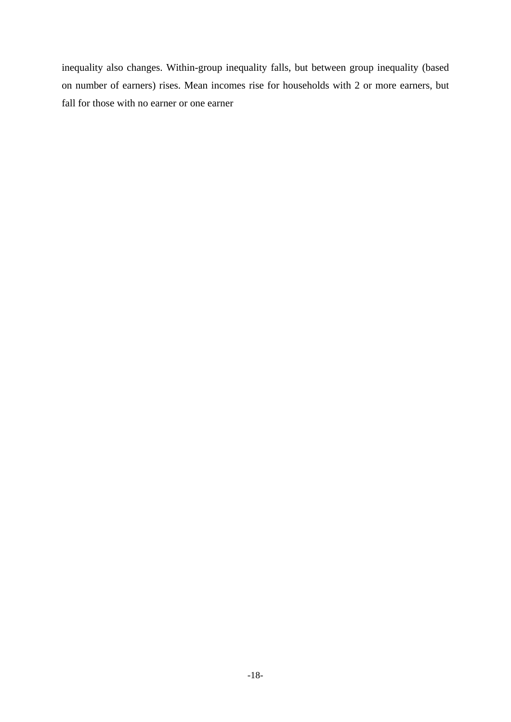inequality also changes. Within-group inequality falls, but between group inequality (based on number of earners) rises. Mean incomes rise for households with 2 or more earners, but fall for those with no earner or one earner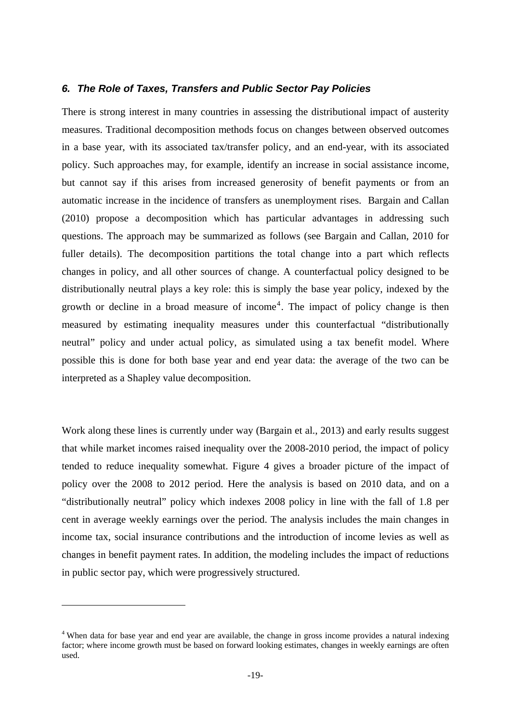## *6. The Role of Taxes, Transfers and Public Sector Pay Policies*

There is strong interest in many countries in assessing the distributional impact of austerity measures. Traditional decomposition methods focus on changes between observed outcomes in a base year, with its associated tax/transfer policy, and an end-year, with its associated policy. Such approaches may, for example, identify an increase in social assistance income, but cannot say if this arises from increased generosity of benefit payments or from an automatic increase in the incidence of transfers as unemployment rises. Bargain and Callan (2010) propose a decomposition which has particular advantages in addressing such questions. The approach may be summarized as follows (see Bargain and Callan, 2010 for fuller details). The decomposition partitions the total change into a part which reflects changes in policy, and all other sources of change. A counterfactual policy designed to be distributionally neutral plays a key role: this is simply the base year policy, indexed by the growth or decline in a broad measure of income<sup>4</sup>. The impact of policy change is then measured by estimating inequality measures under this counterfactual "distributionally neutral" policy and under actual policy, as simulated using a tax benefit model. Where possible this is done for both base year and end year data: the average of the two can be interpreted as a Shapley value decomposition.

Work along these lines is currently under way (Bargain et al., 2013) and early results suggest that while market incomes raised inequality over the 2008-2010 period, the impact of policy tended to reduce inequality somewhat. Figure 4 gives a broader picture of the impact of policy over the 2008 to 2012 period. Here the analysis is based on 2010 data, and on a "distributionally neutral" policy which indexes 2008 policy in line with the fall of 1.8 per cent in average weekly earnings over the period. The analysis includes the main changes in income tax, social insurance contributions and the introduction of income levies as well as changes in benefit payment rates. In addition, the modeling includes the impact of reductions in public sector pay, which were progressively structured.

-

<sup>&</sup>lt;sup>4</sup> When data for base year and end year are available, the change in gross income provides a natural indexing factor; where income growth must be based on forward looking estimates, changes in weekly earnings are often used.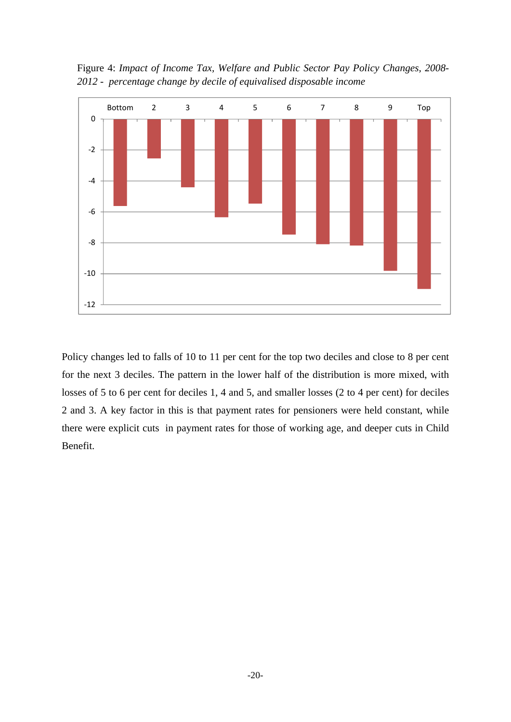Figure 4: *Impact of Income Tax, Welfare and Public Sector Pay Policy Changes, 2008- 2012 - percentage change by decile of equivalised disposable income*



Policy changes led to falls of 10 to 11 per cent for the top two deciles and close to 8 per cent for the next 3 deciles. The pattern in the lower half of the distribution is more mixed, with losses of 5 to 6 per cent for deciles 1, 4 and 5, and smaller losses (2 to 4 per cent) for deciles 2 and 3. A key factor in this is that payment rates for pensioners were held constant, while there were explicit cuts in payment rates for those of working age, and deeper cuts in Child Benefit.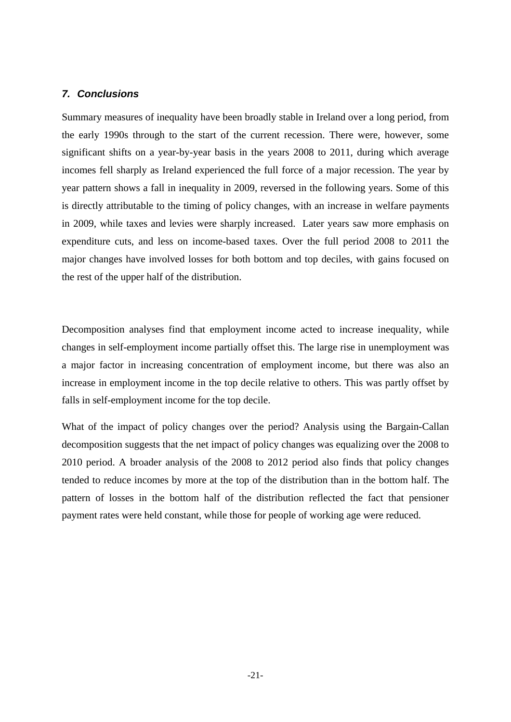## *7. Conclusions*

Summary measures of inequality have been broadly stable in Ireland over a long period, from the early 1990s through to the start of the current recession. There were, however, some significant shifts on a year-by-year basis in the years 2008 to 2011, during which average incomes fell sharply as Ireland experienced the full force of a major recession. The year by year pattern shows a fall in inequality in 2009, reversed in the following years. Some of this is directly attributable to the timing of policy changes, with an increase in welfare payments in 2009, while taxes and levies were sharply increased. Later years saw more emphasis on expenditure cuts, and less on income-based taxes. Over the full period 2008 to 2011 the major changes have involved losses for both bottom and top deciles, with gains focused on the rest of the upper half of the distribution.

Decomposition analyses find that employment income acted to increase inequality, while changes in self-employment income partially offset this. The large rise in unemployment was a major factor in increasing concentration of employment income, but there was also an increase in employment income in the top decile relative to others. This was partly offset by falls in self-employment income for the top decile.

What of the impact of policy changes over the period? Analysis using the Bargain-Callan decomposition suggests that the net impact of policy changes was equalizing over the 2008 to 2010 period. A broader analysis of the 2008 to 2012 period also finds that policy changes tended to reduce incomes by more at the top of the distribution than in the bottom half. The pattern of losses in the bottom half of the distribution reflected the fact that pensioner payment rates were held constant, while those for people of working age were reduced.